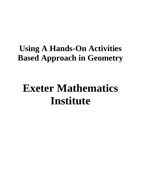# **Using A Hands-On Activities Based Approach in Geometry**

# **Exeter Mathematics Institute**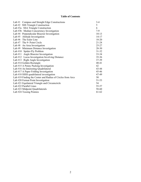#### **Table of Contents**

| Lab #1 Compass and Straight Edge Constructions             | $3 - 4$   |
|------------------------------------------------------------|-----------|
| Lab #2 SSS Triangle Construction                           | 5         |
| Lab #3a SSA Triangle Construction                          | 6         |
| Lab #3b Median Concurrency Investigation                   | $7-9$     |
| Lab #4 Perpendicular Bisector Investigation                | $10-13$   |
| Lab #5 Altitude Investigation                              | $14 - 17$ |
| Lab #6 The Euler Line                                      | 18-20     |
| Lab #7 The 9- Point Circle                                 | $21 - 24$ |
| Lab #8 An Area Investigation                               | $25 - 27$ |
| Lab #9 Minimum Distance Investigation                      | 28-30     |
| Lab #10 Spider-Fly Problem                                 | $31 - 32$ |
| Lab #11 Angle Bisector Investigation                       | $33 - 34$ |
| Lab #12 Locus Investigation Involving Distance             | $35 - 36$ |
| Lab $#13$ Right Angle Investigation                        | 37-39     |
| Lab #14 Golden Rectangle                                   | $40 - 41$ |
| Lab #15 A Penny Packing Investigation                      | 42        |
| Lab #16 An Interesting Quadrilateral                       | 43-44     |
| Lab #17 A Paper Folding Investigation                      | $45 - 46$ |
| Lab #18 SSSS quadrilateral investigation                   | 47-49     |
| Lab #19 Finding the Center and Radius of Circles from Arcs | 50        |
| Lab #20 Fermat Point Investigation                         | 51-53     |
| Lab #21 Equilateral Triangle and Circumcircle              | 54        |
| Lab #22 Parallel Lines                                     | 55-57     |
| Lab #23 Midpoint Quadrilaterals                            | 58-60     |
| Lab #24 Tossing Pennies                                    | 61-62     |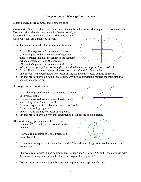#### **Compass and Straight edge Constructions**

Materials needed are compass and a straight edge.

**Comment:** If these are done early in a course, then a formal proof of why they work is not appropriate. However, after triangle congruence has been covered, it

is worthwhile to revisit these constructions and to nail down why they are guaranteed to work.

- I. Midpoint and perpendicular bisector construction
	- 1. Draw a line segment *AB* on a piece of paper.
	- 2. Use a compass to draw two circles of equal radii that are greater than half the length of the segment *AB* and centered at *A* and *B* respectively. *(Although the picture at right shows full circles,*



*using just the appropriate arcs is sufficient and will make the diagram less crowded.)*

- 3. Draw a line that connects the two intersection points *C* and *D* of the circles.
- 4. The line *CD* is the perpendicular bisector of *AB*, and thus intersects *AB* at its midpoint *M*.
- 5. Try and prove or explain in the space below why this construction produces the midpoint and perpendicular bisector.
- II. Angle bisector construction.
	- 1. Draw line segments *AB* and *AC* on a piece of paper as shown at right.
	- 2. Use a compass to draw a circle centered at *A* and intersecting *AB* at *E* and *AC* at *D*.
	- 3. Draw two equal radii circular arcs centered at *E* and *D* and intersecting at point *G*.
	- 4. The ray *AG* is the angle bisector of angle *BAC*
	- 5. Try and prove or explain why this construction produces the angle bisector.
- III. Constructing a perpendicular line to a line segment AB through a given point C on the segment.
	- 1. Draw a circle centered at C that intersects the line at E and F.





- 2. Draw circles of equal radii centered at E and F. The radii must be greater than half the distance from E to F.
- 3. The two circles drawn in step #2 intersect at points P and Q. Points P, Q and C are collinear, with the line containing them perpendicular to the original line segment AB.
- 4. Try and prove or explain why this construction produces a perpendicular line.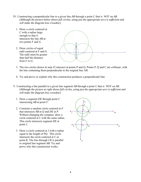- IV. Constructing a perpendicular line to a given line *AB* through a point *C* that is NOT on *AB*. *(Although the picture below shows full circles, using just the appropriate arcs is sufficient and will make the diagram less crowded.)*
	- 1. Draw a circle centered at *C* with a radius large enough so that it intersects the line *AB* at two points *F* and *G*.
	- 2. Draw circles of equal radii centered at F and G. The radii must be greater than half the distance from F to G.



- 3. The two circles drawn in step #2 intersect at points P and Q. Points P, Q and C are collinear, with the line containing them perpendicular to the original line AB.
- 4. Try and prove or explain why this construction produces a perpendicular line.
- V. Constructing a line parallel to a given line segment *AB* through a point *C* that is NOT on *AB*. *(Although the picture at right shows full circles, using just the appropriate arcs is sufficient and will make the diagram less crowded.)*
	- 1. Draw a segment *DE* through point *C* intersecting *AB* at point *F*.
	- 2. Construct a random circle centered at *F* that intersects *AB* at *Q* and *DE* at *P*. Without changing the compass, draw a circle centered at *C* with the same radius. This circle intersects segment *DE* at point *J*.
	- 3. Draw a circle centered at *J* with a radius equal to the length of *PQ*. This circle intersects the circle centered at *C* at point *K*. The line through *CK* is parallel to original line segment *AB*. Try and prove why this construction works.

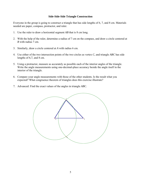#### **Side-Side-Side Triangle Construction**

Everyone in the group is going to construct a triangle that has side lengths of 6, 7, and 8 cm. Materials needed are paper, compass, protractor, and ruler.

- 1. Use the ruler to draw a horizontal segment *AB* that is 8 cm long.
- 2. With the help of the ruler, determine a radius of 7 cm on the compass, and draw a circle centered at *B* with radius 7 cm.
- 3. Similarly, draw a circle centered at *A* with radius 6 cm.
- 4. Use either of the two intersection points of the two circles as vertex *C*, and triangle *ABC* has side lengths of 6,7, and 8 cm.
- 5. Using a protractor, measure as accurately as possible each of the interior angles of the triangle. Write the angle measurements using one-decimal-place accuracy beside the angle itself in the interior of the triangle.
- 6. Compare your angle measurements with those of the other students. Is the result what you expected? What congruence theorem of triangles does this exercise illustrate?
- 7. Advanced: Find the exact values of the angles in triangle *ABC*.

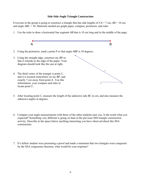#### **Side-Side-Angle Triangle Construction**

Everyone in the group is going to construct a triangle that has side lengths of  $CA = 7$  cm,  $AB = 10$  cm, and angle *ABC* = 30. Materials needed are graph paper, compass, protractor, and ruler.

1. Use the ruler to draw a horizontal line segment *AB* that is 10 cm long and in the middle of the page.



- 5. After locating point *C*, measure the length of the unknown side *BC* in cm, and also measure the unknown angles in degrees.
- 6. Compare your angle measurements with those of the other students near you. Is the result what you expected? Something very different is going on than in the previous SSS triangle construction activity. Describe in the space below anything interesting you have observed about this SSA construction.
- 7. If a fellow student were presenting a proof and made a statement that two triangles were congruent by the SSA congruence theorem, what would be your response?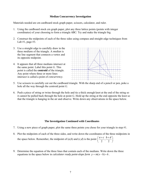#### **Median Concurrency Investigation**

Materials needed are cm cardboard stock graph paper, scissors, calculator, and ruler.

- 1. Using the cardboard stock cm graph paper, plot any three lattice points (points with integer coordinates) of your choosing to form a triangle *ABC*: Try and make the triangle big.
- 2. Construct the midpoints of each of the three sides using compass and straight edge techniques from Lab  $#1$ , page  $#3$ .
- 3. Use a straight edge to carefully draw in the three *medians* of the triangle. A *median* is the line segment that connects a vertex and its opposite midpoint.
- 4. It appears that all three medians intersect at the same point. Label this point *G*. This point is called the **centroid** of the triangle. Any point where three or more lines intersect is called a point of *concurrency*.



- 5. Use scissors to carefully cut out the cardboard triangle. With the sharp end of a pencil or pen, poke a hole all the way through the centroid point *G*.
- 6. Push a piece of string or twine through the hole and tie a thick enough knot at the end of the string so it cannot be pulled back through the hole at point *G*. Hold up the string at the end opposite the knot so that the triangle is hanging in the air and observe. Write down any observations in the space below.

#### **The Investigation Continued with Coordinates**

- 7. Using a new piece of graph paper, plot the same three points you chose for your triangle in step #1.
- 8. Plot the midpoints of each of the three sides, and write down the coordinates of the three midpoints in the space below. Remember, the midpoint of  $(a,b)$  and  $(c,d)$  is the point  $\left(\frac{a+c}{2}, \frac{b+d}{2}\right)$
- 9. Determine the equation of the three lines that contain each of the medians. Write down the three equations in the space below in *calculator ready point-slope form*  $y = m(x-h) + k$ .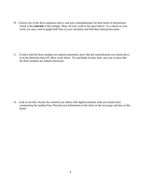10. Choose two of the three equations above, and solve simultaneously for their point of intersection, which is the **centroid** of this triangle. Show all your work in the space below. As a check on your work, you may want to graph both lines in your calculator and find their intersection point.

11. To show that the three medians are indeed concurrent, show that the centroid point you found above is on the third line from #9. Show work below. Try and think of more than one way to show that the three medians are indeed concurrent.

12. Look to see how closely the centroid you obtain with algebra matches what you found when constructing the median lines. Record your information in the chart on the next page and also on the board.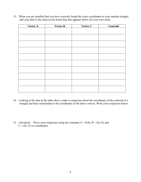13. When you are satisfied that you have correctly found the exact coordinates to your random triangle, add your data to the chart on the board that also appears below for your own notes.

| <b>Vertex A</b> | <b>Vertex B</b> | Vertex C | Centroid |
|-----------------|-----------------|----------|----------|
|                 |                 |          |          |
|                 |                 |          |          |
|                 |                 |          |          |
|                 |                 |          |          |
|                 |                 |          |          |
|                 |                 |          |          |
|                 |                 |          |          |
|                 |                 |          |          |
|                 |                 |          |          |
|                 |                 |          |          |
|                 |                 |          |          |
|                 |                 |          |          |
|                 |                 |          |          |
|                 |                 |          |          |
|                 |                 |          |          |
|                 |                 |          |          |
|                 |                 |          |          |
|                 |                 |          |          |

- 14. Looking at the data in the table above, make a conjecture about the coordinates of the centroid of a triangle and their relationship to the coordinates of the three vertices. Write your conjecture below.
- 15. Advanced Prove your conjecture using the constants  $A = (0,0)$ ,  $B = (2a, 0)$ , and  $C = (2b, 2c)$  as coordinates.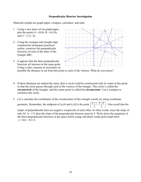#### **Perpendicular Bisector Investigation**

Materials needed are graph paper, compass, calculator, and ruler.

- 1. Using a new piece of cm graph paper, plot the points  $A = (0,0)$ ,  $B = (6,10)$ , and  $C = (12,-4)$ .
- 2. Using the compass and straight edge construction techniques practiced earlier, construct the perpendicular bisectors of each of the sides of the triangle *ABC*.
- 3. It appears that the three perpendicular bisectors all intersect at the same point. Using a ruler, measure as accurately as



possible the distance in cm from this point to each of the vertices. What do you notice?

- 4. If these distances are indeed the same, then a circle could be constructed with its center at this point so that the circle passes through each of the vertices of the triangle. This circle is called the *circumcircle* of the triangle, and the center point is called the *circumcenter*. Use a compass to construct this circle.
- 5. Let's calculate the coordinates of the circumcenter of this triangle exactly by using coordinate geometry. Remember, the midpoint of  $(a,b)$  and  $(c,d)$  is the point  $\left(\frac{a+c}{2}, \frac{b+d}{2}\right)$ ⎞ ⎟. Also recall that the slopes of perpendicular lines are negative reciprocals of each other. In other words, since the slope of side AC is −1/3, then the slope of the perpendicular bisector must be 3. Write down the equations of

the three perpendicular bisectors in the space below using *calculator ready point-slope form*  $y = m(x - h) + k$ .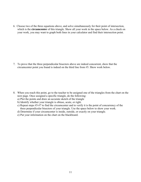6. Choose two of the three equations above, and solve simultaneously for their point of intersection, which is the **circumcenter** of this triangle. Show all your work in the space below. As a check on your work, you may want to graph both lines in your calculator and find their intersection point.

7. To prove that the three perpendicular bisectors above are indeed concurrent, show that the circumcenter point you found is indeed on the third line from #5. Show work below.

- 8. When you reach this point, go to the teacher to be assigned one of the triangles from the chart on the next page. Once assigned a specific triangle, do the following:
	- a) Plot the points and draw an accurate sketch of the triangle
	- b) Identify whether your triangle is obtuse, acute, or right.
	- c) Repeat steps #5-#7 to find the circumcenter and to verify it is the point of concurrency of the three perpendicular bisectors of your triangle. Use the space below to show your work.
	- d) Determine if your circumcenter is inside, outside, or exactly on your triangle.
	- e) Put your information on the chart on the blackboard.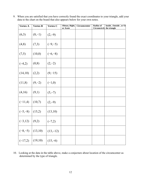| <b>Vertex A</b> | <b>Vertex B</b> | Vertex C   | Obtuse, Right,<br>or Acute | Circumcenter | <b>Radius of</b><br>Circumcircle | Inside, Outside, or Of<br>the triangle |
|-----------------|-----------------|------------|----------------------------|--------------|----------------------------------|----------------------------------------|
| (6,3)           | $(8,-1)$        | $(2,-9)$   |                            |              |                                  |                                        |
| (4,8)           | (7,3)           | $(-9,-5)$  |                            |              |                                  |                                        |
| (7,5)           | (10,0)          | $(-6,-8)$  |                            |              |                                  |                                        |
| $(-4,2)$        | (0, 8)          | $(2,-2)$   |                            |              |                                  |                                        |
| (14,10)         | (2,2)           | $(9,-15)$  |                            |              |                                  |                                        |
| (11,8)          | $(9,-2)$        | $(-1,0)$   |                            |              |                                  |                                        |
| (4,16)          | (9,1)           | $(5,-7)$   |                            |              |                                  |                                        |
| $(-11,4)$       | (10,7)          | $(2,-9)$   |                            |              |                                  |                                        |
| $(-5,-8)$       | (15,2)          | (13,10)    |                            |              |                                  |                                        |
| $(-3,12)$       | (9,2)           | $(-7,2)$   |                            |              |                                  |                                        |
| $(-8,-5)$       | (13,10)         | $(13,-12)$ |                            |              |                                  |                                        |
| $(-17,2)$       | (19,10)         | $(15,-6)$  |                            |              |                                  |                                        |

9. When you are satisfied that you have correctly found the exact coordinates to your triangle, add your data to the chart on the board that also appears below for your own notes.

10. Looking at the data in the table above, make a conjecture about location of the circumcenter as determined by the type of triangle.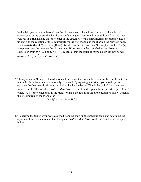11. In this lab, you have now learned that the circumcenter is the unique point that is the point of concurrency of the perpendicular bisectors of a triangle. Therefore, it is equidistant from the three vertices in a triangle, and thus the center of the circumcircle that circumscribes the triangle. Let's try and find the equation of the circumcircle for the first triangle in the chart on the previous page. Let *A* = (0,0), *B* = (4,5), and *C* = (10,–8). Recall, that the circumcenter *O* is at (7,–1.5). Let *P* = (*x*, *y*) represent any the point on the circumcircle. Write down in the space below the distance expression from  $P = (x,y)$  to  $Q = (7, -1.5)$ . Recall that the distance formula between two points (*a,b*) and (*c,d*) is  $\sqrt{(a-c)^2 + (b-d)^2}$ .

12. The equation in #11 above does describe all the points that are on the circumscribed circle, but it is not in the form that circles are normally expressed. By squaring both sides, you should get an equation that has no radicals in it, and looks like the one below. This is the typical form that one leaves a circle. This is called *center-radius form* of a circle and is generalized  $(x-h)^2 + (y-k)^2 = r^2$ , where  $(h,k)$  is the center and *r* is the radius. What is the radius of the circle described below, which is the circumcircle of the triangle *ABC*?

$$
(x-7)^2 + (y+1.5)^2 = 51.25
$$

13. Go back to the triangle you were assigned from the chart on the previous page, and determine the equation of the circumcircle of that triangle in *center-radius form*. Write the equation in the space below.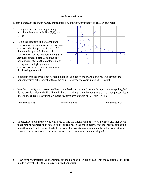#### **Altitude Investigation**

Materials needed are graph paper, colored pencils, compass, protractor, calculator, and ruler.

- 1. Using a new piece of cm graph paper, plot the points  $A = (0,0)$ ,  $B = (2,8)$ , and  $C = (9,2)$ .
- 2. Using the compass and straight edge construction techniques practiced earlier, construct the line perpendicular to *BC* that contains point *A*. Repeat this construction for the line perpendicular to *AB* that contains point *C*, and the line perpendicular to *AC* that contains point *B*. (try and use lightly drawn construction arcs in order to not clutter the drawing too much)



- 3. It appears that the three lines perpendicular to the sides of the triangle and passing through the opposite vertex all intersect at the same point. Estimate the coordinates of this point.
- 4. In order to verify that these three lines are indeed *concurrent* (passing through the same point), let's do the problem algebraically. This will involve writing down the equations of the three perpendicular lines in the space below using *calculator ready point-slope form*  $y = m(x - h) + k$ .

Line through *A*: Line through *B*: Line through *C*:

5. To check for concurrency, you will need to find the intersection of two of the lines, and then see if that point of intersection is indeed on the third line. In the space below, find the intersection of the lines through *A* and *B* respectively by solving their equations simultaneously. When you get your answer, check back to see if it makes sense relative to your estimate in step #3.

6. Now, simply substitute the coordinates for the point of intersection back into the equation of the third line to verify that the three lines are indeed concurrent.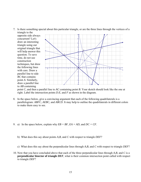7. Is there something special about this particular triangle, or are the three lines through the vertices of a triangle to the

opposite side always concurrent? Let's draw an interesting triangle using our original triangle that will help answer this question. To save time, do not use construction techniques, but draw the following lines with care. Draw a parallel line to side *BC* that contains point *A*. Similarly, draw a parallel line to *AB* containing



point *C*, and then a parallel line to *AC* containing point *B*. Your sketch should look like the one at right. Label the intersection points *D*.*E*, and *F* as shown in the diagram.

- 8. In the space below, give a convincing argument that each of the following quadrilaterals is a parallelogram: *ABFC*, *AEBC*, and *ABCD*. It may help to outline the quadrilaterals in different colors to make them easy to see.
- 9. a) In the space below, explain why  $EB = BF$ ,  $EA = AD$ , and  $DC = CF$ .
	- b)What does this say about points *A*,*B*, and *C* with respect to triangle *DEF*?
	- c) What does this say about the perpendicular lines through *A*,*B*, and *C* with respect to triangle *DEF*?
- 10. Now that you have concluded above that each of the three perpendicular lines through *A*,*B*, and *C* is a **perpendicular bisector of triangle** *DEF*, what is their common intersection point called with respect to triangle *DEF*?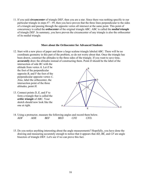11. If you said *circumcenter* of triangle *DEF*, then you are a star. Since there was nothing specific to our particular triangle in steps #7 - #9, then you have proven that the three lines perpendicular to the sides of a triangle and passing through the opposite vertex all intersect at the same point. This point of concurrency is called the *orthocenter* of the original triangle *ABC*. ABC is called the *medial triangle* of triangle *DEF*. In summary, you have proven the circumcenter of any triangle is also the orthocenter of its medial triangle.

#### **More about the Orthocenter for Advanced Students**

12. Start with a new piece of paper and draw a large scalene triangle labeled *ABC*. There will be no coordinate geometry in this part of the problem, so do not worry about that. Once the triangle has been drawn, construct the altitudes to the three sides of the triangle. If you want to save time, **accurately** draw the altitudes instead of constructing them. Point *D* should be the label of the

intersection of side *BC* with the altitude from vertex *A*. Let *E* be the foot of the perpendicular opposite  $B$ , and  $F$  the foot of the perpendicular opposite vertex *C*. Also, label the orthocenter, the intersection point of the three altitudes, point  $H$ .

13. Connect points *D, E*, and *F* to form a triangle that is called the *orthic triangle* of *ABC*. Your sketch should now look like the one at right.



- 14. Using a protractor, measure the following angles and record them below. *ADF ADE BEF BED CFE CFD.*
- 15. Do you notice anything interesting about the angle measurements? Hopefully, you have done the drawing and measuring accurately enough to notice that it appears that *AD, BE*, and *CF* are angle bisectors of triangle *DEF*. Let's see if we can prove this fact.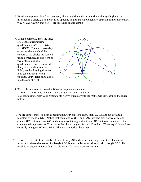- 16. Recall an important fact from geometry about quadrilaterals. A quadrilateral is *cyclic* (it can be inscribed in a circle), if and only if its opposite angles are supplementary. Explain in the space below why *AFHE*, *CEHD*, and *BDHF* are all cyclic quadrilaterals.
- H F E D A B 17. Using a compass, draw the three circles that circumscribe quadrilaterals *AFHE*, *CEHD*, and *BDHF*. You can reasonably estimate where each of the centers of the circles are located using perpendicular bisectors of two of the sides of a quadrilateral. It is recommended that you draw the circles in lightly so the drawing does not look too cluttered. When finished, your sketch should look like the one at right.
- 18. First, it is important to note the following angle equivalencies: ∠ *BCF* = ∠ *BAD* and ∠ *ABE* = ∠ *ACF* and ∠ *CBE* = ∠ *CAD*  You can measure with your protractor to verify, but also write the mathematical reason in the space below.

C

- 19. We are almost there, so keep concentrating. Our goal is to show that *AD, BE*, and *CF* are angle bisectors of triangle *DEF*. Notice that equal angles *BCF* and *BAD* intersect arcs on two different circles. *BCF* intersects arc *HD* on the circle containing vertex *C*, and *BAD* intersects arc *HF* on the circle containing vertex *A*. This means that the arc angles for arc *HD* and arc *HF* are equal. Now, look carefully at angles *BED* and *BEF*. What do you notice about them?
- 20. Finish off the rest of the details below as to why *AD* and *CF* are also angle bisectors. This result means that **the orthocenter of triangle** *ABC* **is also the incenter of its orthic triangle** *DEF*. This result is an alternative proof that the altitudes of a triangle are concurrent.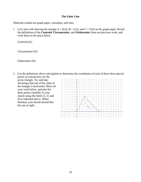#### **The Euler Line**

Materials needed are graph paper, calculator, and ruler.

1. Let's start with drawing the triangle  $A = (0,0)$ ,  $B = (3,6)$ , and  $C = (9,0)$  on the graph paper. Recall the definitions of the **Centroid**, **Circumcenter**, and **Orthocenter** from our previous work, and write them in the space below.

Centroid (G):

Circumcenter (O):

Orthocenter (H):

2. Use the definitions above and algebra to determine the coordinates of each of these three special points of concurrency for the

given triangle. Try and take advantage that one of the sides of the triangle is horizontal. Show all your work below, and plot the three points carefully in your sketch using the labels *G, O*, and *H* as indicated above. When finished, your sketch should like the one at right.

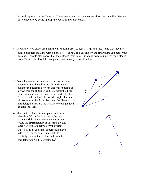3. It should appear that the Centroid, Circumcenter, and Orthocenter are all on the same line. Test out this conjecture by doing appropriate work in the space below.

4. Hopefully, you discovered that the three points are  $(4,2)$ ,  $(4.5,1.5)$ , and  $(3,3)$ , and that they are indeed collinear on a line with a slope of −1. If not, go back and try and find where you made your mistake. It should also appear that the distance from *G* to *H* is about twice as much as the distance from *G* to *O*. Check out this conjecture, and show your work below.

- 5. Now the interesting question to pursue becomes whether or not the collinear relationship and distance relationship between these three points is always true for all triangles. First, recall this little reminder about vectors. Vectors are added by the "foot to head" method illustrated at right. The sum of two vectors  $\vec{u} + \vec{v}$  thus becomes the diagonal of a parallelogram that has the two vectors being added as adjacent sides.
- 6. Start with a blank piece of paper and draw a triangle *ABC* similar in shape to the one shown at right. Being reasonable accurate, locate the *circumcenter* of this triangle, and label it *O*. Explain below why the vector  $\overrightarrow{OB} + \overrightarrow{OC}$  is a vector that is perpendicular to side *BC* of the triangle. It may help to carefully draw in the vectors and even the parallelogram. Call this vector  $\overrightarrow{OP}$ .

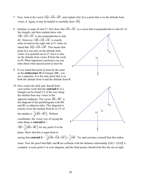- 7. Now, look at the vector  $\overrightarrow{OQ} = \overrightarrow{OA} + \overrightarrow{OP}$ , and explain why *Q* is a point that is on the altitude from vertex *A*. Again, it may be helpful to carefully draw  $\overrightarrow{OQ}$ .
- 8. Similary to steps #6 and #7, first show that  $\overrightarrow{OA} + \overrightarrow{OC}$  is a vector that is perpendicular to side *AC* of the triangle, and then explain/show why  $\overrightarrow{OB} + \overrightarrow{OA} + \overrightarrow{OC}$  is also perpendicular to side *AC*. However,  $\overrightarrow{OB} + \overrightarrow{OA} + \overrightarrow{OC}$  is exactly what we had on the right side in #7 when we stated that  $\overline{OQ} = \overline{OA} + \overline{OP}$ . This means that point *Q* is not only on the altitude from vertex *A* as pointed out in #7, but it is also on the altitude from vertex *B* from the work in #8. What important conclusion can you state about what special point *Q* must be.  $= OA + OP$  $\frac{10}{24}$ Q O A
- 9. If you stated that point *Q* must be the same as the **orthocenter** *H* of triangle *ABC*, you are a superstar. It is the only point that is on both the altitude from *A* and the altitude from *B*.
- 10. Now comes the slick part. Recall from your earlier work that the **centroid** *G* of a triangle can be found 2/3 of the way along the median from any vertex to the opposite midpoint. The vector  $\overline{BA} + \overline{BC}$  is the diagonal of the parallelogram with *BA* and *BC* as adjacent sides. This diagonal is exactly twice the median from *B*, so 2/3 of the median is  $\frac{1}{3} (\overrightarrow{BA} + \overrightarrow{BC})$  $\overrightarrow{BA} + \overrightarrow{BC}$ . Without coordinates, the vector way of saying the same thing is **centroid**  $G =$ 
	- $\overrightarrow{OB} + \frac{1}{3}(\overrightarrow{BA} + \overrightarrow{BC})$  for any point *O* in the
	- plane. Show that this is equivalent to



saying that **centroid**  $G = \frac{1}{2}(OB + OA +$  $rac{1}{3}(\overrightarrow{OB} + \overrightarrow{OA} + \overrightarrow{OC})$  $\overrightarrow{OB} + \overrightarrow{OA} + \overrightarrow{OC} = \frac{1}{2}$  $=\frac{1}{3}OH$  $\overrightarrow{OH}$  . Try and convince yourself that this makes sense. Now the proof that *O,G*, and *H* are collinear with the distance relationship  $|GH| = 2|GO|$  is complete. Locate point *G* in your diagram, and the final picture should look like the one at right.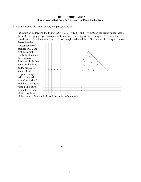### **The "9-Point" Circle Sometimes called Euler's Circle or the Feuerbach Circle**

Materials needed are graph paper, compass, and ruler.

1. Let's start with drawing the triangle  $A = (0,0)$ ,  $B = (2,6)$ , and  $C = (8,0)$  on the graph paper. Make the scale two graph paper lines per unit in order to have a good size triangle. Determine the coordinates of the three midpoints of this triangle and label them *D*,*E*, and *F* . In the space below, determine the

*circumcenter* of triangle *DEF*, and plot this point carefully. Then use the compass to draw the circle that contains the three midpoints *D*, *E*, and *F* of the original triangle. When finished, your sketch should look like the one at right. Make sure you note the center of the coordinates



of the center of the circle *P*, and the radius of the circle.

 $D = E = F = F = P =$ 

$$
F =
$$

$$
P =
$$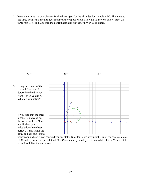2. Next, determine the coordinates for the three *"feet"*of the altitudes for triangle *ABC*. This means, the three points that the altitudes intersect the opposite side. Show all your work below, label the three *feet Q*, *R*, and *S*, record the coordinates, and plot carefully on your sketch.



*D, E*, and *F*, draw the quadrilateral *DEFR* and identify what type of quadrilateral it is. Your sketch should look like the one above.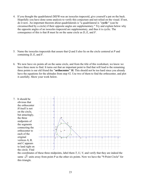- 4. If you thought the quadrilateral *DEFR* was an isosceles trapezoid, give yourself a pat on the back. Hopefully you have done some analysis to verify this conjecture and not relied on the visual. If not, do it now. An important theorem about quadrilaterals is "a quadrilateral is *"cyclic"* (can be circumscribed by a circle) if their opposite angles are supplementary." Try and explain below why the opposite angles of an isosceles trapezoid are supplementary, and thus it is cyclic. The consequence of this is that *R* must lie on the same circle as *D, E,* and *F*.
- 5. Name the isosceles trapezoids that assure that *Q* and *S* also lie on the circle centered at *P* and containing *D, E,* and *F*.
- 6. We now have six points all on the same circle, and from the title of this worksheet, we know we have three more to find. It turns out that an important point to find that will lead to the remaining three points is our old friend the **"orthocenter" H**. This should not be too hard since you already have the equations for the altitudes from step #2. Use two of them to find the orthocenter, and plot it carefully. Show your work below.

7. It should be obvious that the orthocenter *H* itself is not on the circle, but amazingly, the three midpoints of the segments connecting the orthocenter to each of the original vertices *A, B*, and *C* appears to land right on the circle. Find



the coordinates of these three midpoints, label them *T, U, V*, and verify that they are indeed the same  $\sqrt{5}$  units away from point *P* as the other six points. Now we have the "9-Point Circle" for this triangle.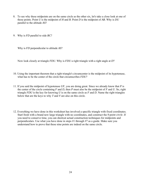- 8. To see why these midpoints are on the same circle as the other six, let's take a close look at one of those points. Point *U* is the midpoint of *H* and *B*. Point *D* is the midpoint of *AB*. Why is *DU* parallel to the altitude *AS*?
- 9. Why is *FD* parallel to side *BC*?

Why is *FD* perpendicular to altitude *AS*?

Now look closely at triangle *FDU*. Why is *FDU* a right triangle with a right angle at *D*?

- 10. Using the important theorem that a right triangle's circumcenter is the midpoint of its hypotenuse, what has to be the center of the circle that circumscribes *FDU*?
- 11. If you said the midpoint of hypotenuse *UF*, you are doing great. Since we already know that *P* is the center of the circle containing *F* and *D*, then *P* must also be the midpoint of *F* and *U*. So, right triangle *FDU* is the key for knowing *U* is on the same circle as *F* and *D*. Name the right triangles below that are the keys to why *T* and *V* are also on this circle.
- 12. Everything we have done in this worksheet has involved a specific triangle with fixed coordinates. Start fresh with a brand new large triangle with no coordinates, and construct the *9-point circle*. If you need to conserve time, you can shortcut actual construction techniques for midpoints and perpendiculars. Use what you have done in steps #1 through #7 as a guide. Make sure you understand how to prove that these nine points are indeed on the same circle.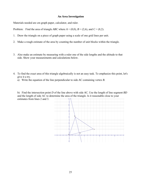#### **An Area Investigation**

Materials needed are cm graph paper, calculator, and ruler.

Problem: Find the area of triangle *ABC* where  $A = (0,0)$ ,  $B = (2,6)$ , and  $C = (8,2)$ .

- 1. Draw the triangle on a piece of graph paper using a scale of one grid lines per unit.
- 2. Make a rough estimate of the area by counting the number of unit blocks within the triangle.
- 3. Also make an estimate by measuring with a ruler one of the side lengths and the altitude to that side. Show your measurements and calculations below.
- 4. To find the exact area of this triangle algebraically is not an easy task. To emphasize this point, let's give it a try.
	- a) Write the equation of the line perpendicular to side *AC* containing vertex *B*.

 b) Find the intersection point *D* of the line above with side *AC*. Use the length of line segment *BD* and the length of side AC to determine the area of the triangle. Is it reasonable close to your estimates from lines 2 and 3.

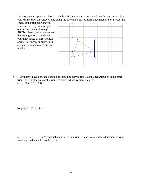5. Let's try another approach. Box in triangle *ABC* by drawing a horizontal line through vertex *B*, a vertical line through vertex *C*, and using the coordinate axis to form a rectangular box *EFGA* that

encloses the triangle. Can you know see an easy way to figure out the exact area of triangle *ABC* by cleverly using the area of the rectangle *EFGA*, and also your knowledge of right triangle areas. Do your work below, and compare your answer to previous results.



6. Now that we have done an example, it should be easy to replicate this technique on some other triangles. Find the area of the triangles below whose vertices are given. a)  $(1,0)$ ,  $(-3,6)$ ,  $(7,4)$ 

b)  $(-2,-3)$ ,  $(0,4)$ ,  $(5,-1)$ 

 c) (0,0), (−2,4), (6,−1) Pay special attention to this triangle, and note a slight adjustment in your technique. What made this different?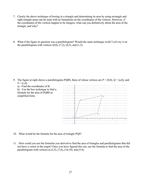- 7. Clearly the above technique of boxing in a triangle and determining its area by using rectangle and right triangle areas can be used with no limitations on the coordinates of the vertices. However, if the coordinates of the vertices happen to be integers, what can you definitively about the area of the triangle, and why?
- 8. What if the figure in question was a parallelogram? Would the same technique work? Let's try it on the parallelogram with vertices  $(0,0)$ ,  $(7,2)$ ,  $(8,5)$ , and  $(1,3)$ .

9. The figure at right shows a parallelogram *PQRS*, three of whose vertices are  $P = (0,0)$ ,  $Q = (a,b)$ , and  $S = (c,d)$ .



- 10. What would be the formula for the area of triangle *PQS*?
- 11. How could you use the formulas you derived to find the area of triangles and parallelograms that did not have a vertex at the origin? Once you have figured this out, use the formula to find the area of the parallelogram with vertices at  $(2,5)$ ,  $(7,6)$ ,  $(10,10)$ , and  $(5,9)$ .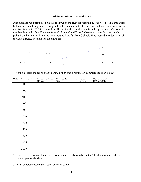#### **A Minimum Distance Investigation**

Alex needs to walk from his house at H, down to the river represented by line AB, fill up some water bottles, and then bring them to his grandmother's house at G. The shortest distance from his house to the river is at point C, 500 meters from H, and the shortest distance from his grandmother's house to the river is at point D, 400 meters from G. Points C and D are 2000 meters apart. If Alex travels to point E on the river to fill up the water bottles, how far from C should E be located in order to travel the least distance possible for the entire trip?



1) Using a scaled model on graph paper, a ruler, and a protractor, complete the chart below.

| Distance from C to E (m) | Measured distance<br>HE (cm) | Measured distance<br>EG (cm) | Total measured<br>distance (cm) | Measure of angles<br>HEC and GED |
|--------------------------|------------------------------|------------------------------|---------------------------------|----------------------------------|
| $\boldsymbol{0}$         |                              |                              |                                 |                                  |
| 200                      |                              |                              |                                 |                                  |
| 400                      |                              |                              |                                 |                                  |
| 600                      |                              |                              |                                 |                                  |
| 800                      |                              |                              |                                 |                                  |
| 1000                     |                              |                              |                                 |                                  |
| 1200                     |                              |                              |                                 |                                  |
| 1400                     |                              |                              |                                 |                                  |
| 1600                     |                              |                              |                                 |                                  |
| 1800                     |                              |                              |                                 |                                  |
| 2000                     |                              |                              |                                 |                                  |

2) Enter the data from column 1 and column 4 in the above table in the TI calculator and make a scatter plot of the data.

3) What conclusions, (if any), can you make so far?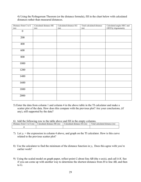4) Using the Pythagorean Theorem (or the distance formula), fill in the chart below with calculated distances rather than measured distances.

| Distance from C to E | Calculated distance HE | Calculated distance EG | Total calculated distance | Calculated angles HEC and |
|----------------------|------------------------|------------------------|---------------------------|---------------------------|
| (m)                  | (m)                    | (m)                    | (m)                       | GED by trigonometry       |
| $\boldsymbol{0}$     |                        |                        |                           |                           |
| 200                  |                        |                        |                           |                           |
| 400                  |                        |                        |                           |                           |
| 600                  |                        |                        |                           |                           |
| 800                  |                        |                        |                           |                           |
| 1000                 |                        |                        |                           |                           |
| 1200                 |                        |                        |                           |                           |
| 1400                 |                        |                        |                           |                           |
| 1600                 |                        |                        |                           |                           |
| 1800                 |                        |                        |                           |                           |
| 2000                 |                        |                        |                           |                           |

5) Enter the data from column 1 and column 4 in the above table in the TI calculator and make a scatter plot of the data. How does this compare with the previous plot? Are your conclusions, (if any), still supported by the data?

6) Add the following row to the table above and fill in the empty columns.

| -------                     |                            |                               | ____                             |
|-----------------------------|----------------------------|-------------------------------|----------------------------------|
| Distance from C<br>to E (m) | Calculated distance HE (m) | (m)<br>Calculated distance EG | Total calculated distance,<br>(m |
|                             |                            |                               |                                  |

- 7) Let  $y_1$  = the expression in column 4 above, and graph on the TI calculator. How is this curve related to the previous scatter plot?
- 8) Use the calculator to find the minimum of the distance function in  $y_1$ . Does this agree with you're earlier work?
- 9) Using the scaled model on graph paper, reflect point *G* about line *AB* (the *x*-axis), and call it *K*. See if you can come up with another way to determine the shortest distance from *H* to line *AB*, and then to *G*.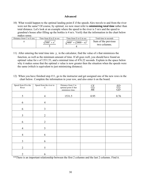#### **Advanced**

10) What would happen to the optimal landing point *E* if the speeds Alex travels to and from the river were not the same? Of course, by optimal, we now must refer to **minimizing total time** rather than total distance. Let's look at an example where the speed to the river is 5 m/s and the speed to grandma's house after filling up the bottles is 4 m/s. Verify that the information in the chart below makes sense.

| Distance from $C$ to $E(m)$ | Time from H to E in sec | Time from E to G in sec | Total time in seconds               |
|-----------------------------|-------------------------|-------------------------|-------------------------------------|
|                             | $\sqrt{500^2 + 10^2}$   | $(400^2+(2000-x)^2)$    | Sum of the previous<br>two columns. |

- 11) After entering the total time into  $y_1$  in the calculator, find the value of x that minimizes the function, as well as the minimum amount of time. If all goes well, you should have found an optimal value for *x* of 1531.53, and a minimal time of 476.22 seconds. Explain in the space below why it makes sense that the optimal *x* value is now greater then the situation when the speeds were the same (which is equivalent to just minimizing distance).
- 12) When you have finished step #11, go to the instructor and get assigned one of the new rows in the chart below. Complete the information in your row, and also enter it on the board.

| Speed from $H$ to the<br>River | Speed from the river to<br>$\cal G$ | Distance from $C$ to<br>optimal point $E$ that<br>minimizes time. | $\frac{CE}{HE}$ | $\frac{ED}{GD}$ |
|--------------------------------|-------------------------------------|-------------------------------------------------------------------|-----------------|-----------------|
| 5                              | $\overline{4}$                      | 1531.5                                                            | 0.95            | 0.76            |
| 6                              | $\overline{4}$                      |                                                                   |                 |                 |
| $\sqrt{6}$                     | $\overline{3}$                      |                                                                   |                 |                 |
| 5                              | $\overline{2}$                      |                                                                   |                 |                 |
| 6                              | $\overline{2}$                      |                                                                   |                 |                 |
| $\overline{4}$                 | 5                                   |                                                                   |                 |                 |
| $\overline{4}$                 | 6                                   |                                                                   |                 |                 |
| $\overline{3}$                 | 6                                   |                                                                   |                 |                 |
| $\overline{2}$                 | 5                                   |                                                                   |                 |                 |
| $\overline{2}$                 | 6                                   |                                                                   |                 |                 |

\*\*There is an important relationship between the first 2 columns and the last 2 columns. Find it.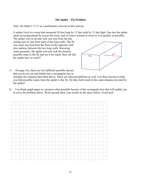#### **The Spider – Fly Problem**

Note: Do Math 2 17/11 as a preliminary exercise to this activity.

A spider lived in a room that measured 30 feet long by 12 feet wide by 12 feet high. One day the spider spied an incapacitated fly across the room, and of course wanted to crawl to it as quickly as possible.

The spider was on an end wall, one foot from the top ceiling and six feet from each of the long walls. The fly was stuck one foot from the floor on the opposite wall, also midway between the two long walls. Knowing some geometry, the spider cleverly took the shortest possible route to the fly and ate it for lunch. How far did the spider have to crawl?



1) On page two, there are two different possible layouts that can be cut out and folded into a rectangular box to simulate the situation described above. There are other possibilities as well. Use these layouts to help you find possible routes from the spider to the fly. Do they both result in the same distance traveled by the spider?

2) Use blank graph paper to construct other possible layouts of this rectangular box that will enable you to solve the problem above. Write up and show your results in the space below. Good luck

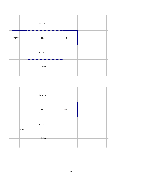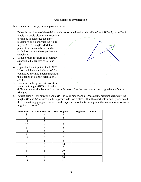#### **Angle Bisector Investigation**

Materials needed are paper, compass, and ruler.

- 1. Below is the picture of the 6-7-8 triangle constructed earlier with side  $AB = 8$ ,  $BC = 7$ , and  $AC = 6$ .
- 2. Apply the angle bisector construction technique to construct the angle bisector of angle opposite the 7 side in your 6-7-8 triangle. Mark the point of intersection between the angle bisector and the opposite side as point *K*.
- 3. Using a ruler, measure as accurately as possible the lengths of *CK* and *BK*.
- 4. Is point *K* the midpoint of side *BC*? If not, which side is it closer to? Do you notice anything interesting about the location of point *K* relative to *B* and *C*?

5. Everyone in the group is to construct



a scalene triangle *ABC* that has three different integer side lengths from the table below. See the instructor to be assigned one of these triangles.

6. Repeat steps #1- #4 bisecting angle *BAC* in your new triangle. Once again, measure accurately the lengths *BK* and *CK* created on the opposite side. As a class, fill in the chart below and try and see if there is anything going on that we could conjecture about yet? Perhaps another column of information might prove useful?

| Side Length AB | Side Length AC | Side Length BC | Length BK | Length CK |
|----------------|----------------|----------------|-----------|-----------|
| 8              | 6              |                |           |           |
| 9              | 6              | 5              |           |           |
| 10             | 6              | 8              |           |           |
| 12             | 6              | 9              |           |           |
| 6              | 4              | 5              |           |           |
| 10             | 8              | 9              |           |           |
| 7              | 5              | 6              |           |           |
| 10             | 5              | 6              |           |           |
| 4              | 8              | 6              |           |           |
| 6              | 9              | 10             |           |           |
| 4              | 5              | 6              |           |           |
| 6              | 8              | 10             |           |           |
| 8              | 12             | 10             |           |           |
| 6              | 6              | 10             |           |           |
| 15             | 9              | 12             |           |           |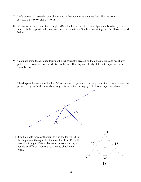- 7. Let's do one of these with coordinates and gather even more accurate data. Plot the points  $A = (0,0), B = (6,0),$  and  $C = (0,8).$
- 8. We know the angle bisector of angle *BAC* is the line  $y = x$ . Determine algebraically where  $y = x$ intersects the opposite side. You will need the equation of the line containing side *BC*. Show all work below.

- 9. Calculate using the distance formula the **exact** lengths created on the opposite side and see if any pattern from your previous work still holds true. If so, try and clearly state that conjecture in the space below:
- 10. The diagram below where the line *CL* is constructed parallel to the angle bisector *AK* can be used to prove a very useful theorem about angle bisectors that perhaps you had as a conjecture above.



11. Use the angle bisector theorem to find the length IM in the diagram to the right. I is the incenter of the 15,15,18 isosceles triangle. This problem can be solved using a couple of different methods as a way to check your work.

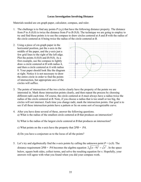#### **Locus Investigation Involving Distance**

Materials needed are cm graph paper, calculator, compass, and ruler.

- 1. The challenge is to find any points  $P(x,y)$  that have the following distance property. The distance from *P* to *A* (0,0) is twice the distance from *P* to *B* (9,0). The technique we are going to employ to try and find these points is to use the compass to draw circles centered at *A* and *B* with the radius of the circle centered at *A* being twice the radius of the circle centered at *B*.
- 2. Using a piece of cm graph paper in the horizontal position, put the *x*-axis in the middle of the paper, and the *y*-axis just a few grid lines to the right of the left edge. Plot the points  $A(0,0)$  and  $B(9,0)$ . As a first example, use the compass to lightly draw a circle centered at *B* with radius 4, and then a circle centered at *A* with radius 8. Your paper should look like the diagram at right. Notice it is not necessary to draw the entire circle in order to find the points of intersection, but appropriate arcs of the circles will suffice.



- 3. The points of intersection of the two circles clearly have the property of the points we are interested in. Mark those intersection points clearly, and then repeat the process by choosing different radii each time. Of course, the circle centered at *A* must always have a radius twice the radius of the circle centered at *B*. Note, if you choose a radius that is too small or too big, the circles will not intersect. Each time you change radii, mark the intersection points. Our goal is to see if all these intersection points have a pattern or lie on some sort of recognizable curve.
- 4. After you have done several of these, answer the following questions. a) What is the radius of the smallest circle centered at *B* that produces an intersection?
	- b) What is the radius of the largest circle centered at *B* that produces an intersection?
	- c) What points on the *x*-axis have the property that 2*PB* = *PA*.
	- d) Do you have a conjecture as to the locus of all the points?
- 5. Let's try and algebraically find the *x*-axis points by calling the unknown point  $P = (x,0)$ . The distance requirement  $2PB = PA$  becomes the algebra equation  $2\sqrt{(x-9)^2} = \sqrt{x^2}$ . In the space below, square both sides, collect terms, and solve the resulting equation for *x*. Hopefully, your answers will agree with what you found when you did your compass work.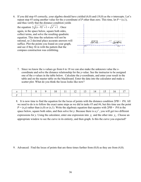6. If you did step #5 correctly, your algebra should have yielded (6,0) and (18,0) as the *x*-intercepts. Let's repeat step #5 using another value for the *y*-coordinate of *P* other than zero. This time, let  $P = (x,1)$ ,

and thus verify that the distance condition yields the equation  $2\sqrt{(x-9)^2 + 1} = \sqrt{x^2 + 1}$ . Once again, in the space below, square both sides, collect terms, and solve the resulting quadratic equation. This time the solutions will not be rational, so 2-decimal place accurate answers will suffice. Plot the points you found on your graph, and see if they fit in with the pattern that the compass construction was exhibiting.



7. Since we know the x-values go from 6 to 18 we can also make the unknown value the *x*coordinate and solve the distance relationship for the *y*-value. See the instructor to be assigned one of the *x*-values in the table below. Calculate the *y*-coordinate, and enter your result in the table and on the master table on the blackboard. Enter the data into the calculator and make a scatter plot. What do you think the locus looks like now?

|  | $9 \mid$ |  |  | 11   12   13   14   15 |  |
|--|----------|--|--|------------------------|--|
|  |          |  |  |                        |  |

 8. It is now time to find the equation for the locus of points with the distance condition 2*PB* = *PA*. All we need to do is to follow the exact same steps as we did in tasks #5 and #6, but this time use the point  $P = (x, y)$  rather than  $(x,0)$  or  $(x,1)$ . Write the algebraic equation that equates with  $2PB = PA$  in the space below, square both sides, and then solve for *y*. Because there is a  $y^2$ , you will get two different expressions for *y*. Using the calculator, enter one expression into  $y_1$  and the other into  $y_2$ . Choose an appropriate window to see the curve in its entirety, and then graph. Is this the curve you expected?

9. Advanced: Find the locus of points that are three times further from  $(0,0)$  as they are from  $(4,0)$ .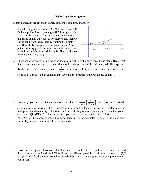#### **Right Angle Investigation**

Materials needed are cm graph paper, calculator, compass, and ruler.

1. Given line segment *AB* where  $A = (1,2)$  and  $B = (10,4)$ find any points *P* such that angle *APB* is a right angle. Let's start by trying to find any points on the *x*-axis that make angle *APB* equal to 90 degrees, and then we can expand from there. Start by plotting the points *A* and *B* carefully on a piece of cm graph paper. Also, put an arbitrary point *P* somewhere on the *x*-axis that looks like it might form a right angle. The coordinates for this point *P* are  $(x,0)$ .



2. There are a few ways to find the coordinates of point *P*, with one of them being slope. Recall that lines are perpendicular to each other if and only if the product of their slopes is −1. The expression for the slope of *AP* can be written as  $\frac{2}{\sqrt{2}}$ 1− *x* . In the space below, write down an expression for the slope of *BP*, and set up an equation that says that the product of the two slopes equals −1.

3. Hopefully, you have written an equation equivalent to  $\left(\frac{2}{1} - \left(\frac{4}{10}\right)^2\right) = -1$  $\left(\frac{2}{1-x}\right)\left(\frac{4}{10-x}\right) = -1$ . This is not a trivial

equation to solve, so you will have to take your time and do the algebra correctly. After doing the multiplication, the clearing of fractions, and the collecting of terms, you should notice that your equation is QUADRATIC. This means that you want to get the equation in the form  $ax^2 + bx + c = 0$  in order to solve it by either factoring or the quadratic formula. In the space below, show all your work, and solve the equation above.

4. If you did the algebra above correctly, it should have resulted in the equation  $x^2 - 11x + 18 = 0$  and then the answers  $x = 2$  and  $x = 9$ . Thus, *P* has two different possible locations on the *x*-axis at (2,0) and (9,0). Verify, that these two points do indeed produce a right angle at *APB*, and plot them on your graph.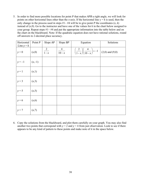5. In order to find more possible locations for point *P* that makes *APB* a right angle, we will look for points on other horizontal lines other than the *x*-axis. If the horizontal line  $y = k$  is used, then the only change in the process used in steps  $#1 - #4$  will be to give point *P* the coordinates  $(x, k)$ instead of  $(x,0)$ . Go to the instructor and have one of the values for  $k$  in the chart below assigned to your group. Repeat steps #1− #4 and put the appropriate information into the table below and on the chart on the blackboard. Note: If the quadratic equation does not have rational solutions, round off answers to 2-decimal place accuracy.

| Horizontal<br>Line $y = k$ | Point $P$ | Slope $AP$      | Slope $BP$                         | Equation                                                   | Solutions           |
|----------------------------|-----------|-----------------|------------------------------------|------------------------------------------------------------|---------------------|
| $y = 0$                    | (x,0)     | $\frac{2}{1-x}$ | $\overline{4}$<br>$\frac{1}{10-x}$ | $\left(\frac{2}{1-x}\right)\left(\frac{4}{10-x}\right)=-1$ | $(2,0)$ and $(9,0)$ |
| $y = -1$                   | $(x,-1)$  |                 |                                    |                                                            |                     |
| $y = 1$                    | (x,1)     |                 |                                    |                                                            |                     |
| $y = 3$                    | (x,3)     |                 |                                    |                                                            |                     |
| $y = 5$                    | (x, 5)    |                 |                                    |                                                            |                     |
| $y = 6$                    | (x,6)     |                 |                                    |                                                            |                     |
| $y = 7$                    | (x,7)     |                 |                                    |                                                            |                     |

6. Copy the solutions from the blackboard, and plot them carefully on your graph. You may also find another two points that correspond with  $y = 2$  and  $y = 4$  from just observation. Look to see if there appears to be any kind of pattern to these points and make note of it in the space below.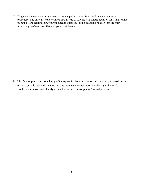7. To generalize our work, all we need to use the point (*x*,*y*) for *P* and follow the exact same procedure. The only difference will be that instead of solving a quadratic equation for *x* that results from the slope relationship, you will need to put the resulting quadratic relation into the form  $x^2 + bx + y^2 + dy + e = 0$ . Show all your work below.

8. The final step is to use completing of the square for both the  $x^2 + bx$  and the  $y^2 + dy$  expressions in order to put this quadratic relation into the more recognizable form  $(x-h)^2 + (y-k)^2 = r^2$ . Do the work below, and identify in detail what the locus of points *P* actually forms.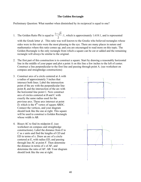#### **The Golden Rectangle**

Preliminary Question: What number when diminished by its reciprocal is equal to one?

- 1. The Golden Ratio Phi is equal to  $\frac{1+\sqrt{5}}{2}$ :1 2  $+\sqrt{5}$ : 1, which is approximately 1.618:1, and is represented with the Greek letter  $\phi$ . This ratio was well known to the Greeks who believed rectangles whose sides were in this ratio were the most pleasing to the eye. There are many places in nature and mathematics where this ratio comes up, and you are encouraged to read more on this topic. The Golden Rectangle is the only rectangle from which a square can be cut or added and the remaining rectangle will always be similar to the original.
- 2. The first part of this construction is to construct a square. Start by drawing a reasonably horizontal line in the middle of your paper and plot a point A on this line a few inches to the left of center. Construct a line perpendicular to the first line and passing through point A. (see worksheet on compass and straightedge constructions)
- 3. Construct arcs of a circle centered at A with a radius of approximately 3 inches that intersect both lines. Label the intersection point of the arc with the perpendicular line point *B*, and the intersection of the arc with the horizontal line point *C*. Now construct arcs of circles centered at *B* and C with exactly the same radius used for the previous arcs. These arcs intersect at point  $D$ , which is the 4<sup>th</sup> vertex of square *ABDC*. Connect the vertices, and your diagram should look like the one at right. This square will be used to construct a Golden Rectangle whose width is *AB*.
- 4. Bisect *AC* to find its midpoint *E*. (see worksheet on compass and straightedge constructions). Label the distance from *E* to *C* as *x* units and find the lengths of *CD* and ED in terms of *x*. Draw an arc of a circle centered at *E*, with radius *ED*, and passing through line *AC* at point *F*. Then determine the distance in terms of *x* of *AF*, and determine the ratio of *AF: AB*. Your diagram should look like the one at right.

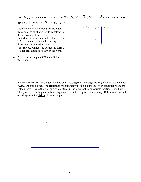5. Hopefully your calculations revealed that  $CD = 2x$ ,  $ED = \sqrt{5}x$ ,  $AF = x + \sqrt{5}x$ , and that the ratio

$$
AF:AB = \frac{x + \sqrt{5} x}{2x} = \frac{1 + \sqrt{5}}{2} = \phi
$$
. This is of

course the ratio we needed for a Golden Rectangle, so all that is left to construct is the last vertex of the rectangle. This should be an easy construction that will be left to you to complete without any directions. Once the last vertex is constructed, connect the vertices to form a Golden Rectangle as shown to the right.

6. Prove that rectangle *CFGD* is a Golden Rectangle.



7. Actually, there are two Golden Rectangles in the diagram. The large rectangle AFGB and rectangle FGDC are both golden. The **challenge** for students with some extra time is to construct two more golden rectangles in this diagram by constructing squares in the appropriate location. Good luck. This process of adding and subtracting squares could be repeated indefinitely. Below is an example of a diagram with **eight** golden rectangles.

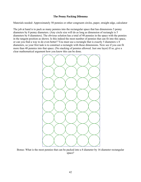#### **The Penny Packing Dilemma**

Materials needed: Approximately 50 pennies or other congruent circles, paper, straight edge, calculator

The job at hand is to pack as many pennies into the rectangular space that has dimensions 5 penny diameters by 8 penny diameters. (Any circle size will do as long as dimension of rectangle is 5 diameters by 8 diameters). The obvious solution has a total of 40 pennies in the space with the pennies in the tangent position as shown. Is this indeed the most number of pennies that can fit into this space, or can you find a way to do even better? You must use a rectangle that is exactly 5 diameters x 8 diameters, so your first task is to construct a rectangle with those dimensions. Now see if you can fit more than 40 pennies into that space. (No stacking of pennies allowed. Just one layer) If so, give a clear mathematical argument how you know this can be done.



Bonus: What is the most pennies that can be packed into a 8 diameter by 16 diameter rectangular space?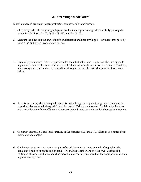# **An Interesting Quadrilateral**

Materials needed are graph paper, protractor, compass, ruler, and scissors.

- 1. Choose a good scale for your graph paper so that the diagram is large after carefully plotting the points  $P = (-15, 0), Q = (5, 0), R = (8, 21),$  and  $S = (0, 15)$ .
- 2. Measure the sides and the angles in this quadrilateral and note anything below that seems possibly interesting and worth investigating further.
- 3. Hopefully you noticed that two opposite sides seem to be the same length, and also two opposite angles seem to have the same measure. Use the distance formula to confirm the distance equalities, and also try and confirm the angle equalities through some mathematical argument. Show work below.

4. What is interesting about this quadrilateral is that although two opposite angles are equal and two opposite sides are equal, the quadrilateral is clearly NOT a parallelogram. Explain why this does not contradict one of the sufficient and necessary conditions we have studied about parallelograms.

- 5. Construct diagonal *SQ* and look carefully at the triangles *RSQ* and *SPQ*. What do you notice about their sides and angles?
- 6. On the next page are two more examples of quadrilaterals that have one pair of opposite sides equal and a pair of opposite angles equal. Try and put together one of your own. Cutting and pasting is allowed, but there should be more than measuring evidence that the appropriate sides and angles are congruent.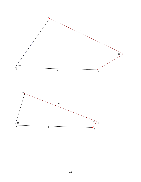

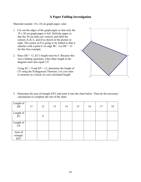# **A Paper Folding Investigation**

Materials needed: 18 x 24 cm graph paper, ruler

- 1. Cut out the edges of the graph paper so that only the 18 x 20 cm graph paper is left. Hold the paper so that the 20 cm sides are vertical, and label the corners *A, B, C*, and *D* as shown in the picture at right. The corner at *D* is going to be folded so that it matches with a point *F* on edge *BC*. Let  $DE = 12$ for this first example.
- 2. Since *DE* = 12, *EC's* length must be 8. Because this was a folding operation, what other length in the diagram must also equal 12?

Using  $EC = 8$  and  $EF = 12$ , determine the length of *CF* using the Pythagorean Theorem. Use you ruler to measure as a check on your calculated length.



3. Determine the area of triangle *EFC* and enter it into the chart below. Then do the necessary calculations to complete the rest of the chart.

| Length of<br>DE            | 11 | 12 | 13 | 14 | 15 | 16 | 17 | 18 |
|----------------------------|----|----|----|----|----|----|----|----|
| Length of $EC$             |    | 8  |    |    |    |    |    |    |
| Length of<br>CF            |    |    |    |    |    |    |    |    |
| Area of<br>triangle<br>EFC |    |    |    |    |    |    |    |    |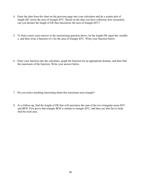- 4. Enter the data from the chart on the previous page into your calculator and do a scatter plot of length *DE* versus the area of triangle *EFC*. Based on the data you have collected, how accurately can you declare the length of *DE* that maximizes the area of triangle *EFC*?
- 5. To find a more exact answer to the maximizing question above, let the length *DE* equal the variable *x*, and then write a function of *x* for the area of triangle *EFC*. Write your function below.

6. Enter your function into the calculator, graph the function for an appropriate domain, and then find the maximum of the function. Write your answer below.

- 7. Do you notice anything interesting about this maximum area triangle?
- 8. As a follow-up, find the length of *DE* that will maximize the sum of the two triangular areas *EFC* and *BFH*. First prove that triangle *BFH* is similar to triangle *EFC,* and then use that fact to help find the total area.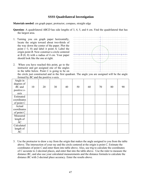# **SSSS Quadrilateral Investigation**

**Materials needed**: cm graph paper, protractor, compass, straight edge

- **Question**: A quadrilateral *ABCD* has side lengths of 3, 4, 5, and 6 cm. Find the quadrilateral that has the largest area.
- 1. Turning you cm graph paper horizontally, locate the origin toward about two-thirds of the way down the center of the paper. Plot the point (−3, 0) and label it point *A*. Label the origin point *B*. Now construct a circle centered at  $B(0, 0)$  with a radius of 4 cm. Your paper should look like the one at right.
- 2. When you have reached this point, go to the instructor and get assigned one of the angles in the table below. Point *C* is going to be on



the circle just constructed and in the first quadrant. The angle you are assigned will be the angle formed by *BC* and the positive *x*-axis.

| Angle $\overline{in}$<br>degrees of |    |    |    |    |    |    |    |    |    |
|-------------------------------------|----|----|----|----|----|----|----|----|----|
| $BC$ and                            | 10 | 20 | 30 | 40 | 50 | 60 | 70 | 80 | 90 |
| positive $x$ -                      |    |    |    |    |    |    |    |    |    |
| axis                                |    |    |    |    |    |    |    |    |    |
| Estimated                           |    |    |    |    |    |    |    |    |    |
| coordinates                         |    |    |    |    |    |    |    |    |    |
| of point $C$                        |    |    |    |    |    |    |    |    |    |
| Actual                              |    |    |    |    |    |    |    |    |    |
| coordinates                         |    |    |    |    |    |    |    |    |    |
| of point $C$                        |    |    |    |    |    |    |    |    |    |
| Measured                            |    |    |    |    |    |    |    |    |    |
| length of                           |    |    |    |    |    |    |    |    |    |
| AC                                  |    |    |    |    |    |    |    |    |    |
| Calculated                          |    |    |    |    |    |    |    |    |    |
| length of                           |    |    |    |    |    |    |    |    |    |
| AC                                  |    |    |    |    |    |    |    |    |    |

3. Use the protractor to draw a ray from the origin that makes the angle assigned to you from the table above. The intersection of your ray and the circle centered at the origin is point *C*. Estimate the coordinates of point *C* and enter them into table above. Also, use trig to calculate the coordinates of *C* accurate to 2-decimal places, and enter that into the table above. Use the ruler to measure the distance *BC*, and also use your calculated measurements and the distance formula to calculate the distance *BC* with 2-decimal place accuracy. Enter the results above.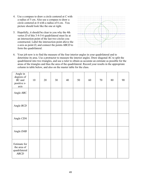- 4. Use a compass to draw a circle centered at *C* with a radius of 5 cm. Also use a compass to draw a circle centered at *A* with a radius of 6 cm. You picture should look like the one at right.
- 5. Hopefully, it should be clear to you why the 4th vertex *D* of this 3-4-5-6 quadrilateral must lie at an intersection point of the last two circles you constructed. Label the intersection point above the *x*-axis as point *D*, and connect the points *ABCD* to form the quadrilateral.



6. Your job now is to find the measure of the four interior angles in your quadrilateral and to determine its area. Use a protractor to measure the interior angles. Draw diagonal *AC* to split the quadrilateral into two triangles, and use a ruler to obtain as accurate an estimate as possible for the areas of the triangles and thus the area of the quadrilateral. Record your results in the appropriate column in table below, and also on the master table for the class.

| Angle in<br>degrees of<br>$BC$ and<br>positive $x$ -<br>axis | 10 | 20 | 30 | 40 | 50 | 60 | $70\,$ | $80\,$ | 90 |
|--------------------------------------------------------------|----|----|----|----|----|----|--------|--------|----|
| Angle ABC                                                    |    |    |    |    |    |    |        |        |    |
| Angle BCD                                                    |    |    |    |    |    |    |        |        |    |
| Angle CDA                                                    |    |    |    |    |    |    |        |        |    |
| Angle DAB                                                    |    |    |    |    |    |    |        |        |    |
| Estimate for<br>the area of<br>quadrilateral<br>ABCD         |    |    |    |    |    |    |        |        |    |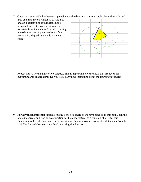- 7. Once the master table has been completed, copy the data into your own table. Enter the angle and
- area data into the calculator as *L1* and *L2*, and do a scatter plot of that data. In the space below, write down what you can ascertain from the data as far as determining a maximum area. A picture of one of the many 3-4-5-6 quadrilaterals is shown at right.



8. Repeat step #3 for an angle of 65 degrees. This is approximately the angle that produces the maximum area quadrilateral. Do you notice anything interesting about the four interior angles?

9. **For advanced students**: Instead of using a specific angle as we have done up to this point, call the angle *x* degrees, and find an area function for the quadrilateral as a function of *x*. Enter this function into the calculator and find its maximum. Is your answer consistent with the data from this lab? The Law of Cosines is involved in writing this function.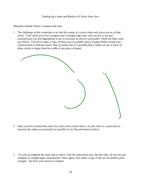#### Finding the Center and Radius of Circles from Arcs

Materials needed: Pencil, compass and ruler.

1. The challenge in this worksheet is to find the center of a circle when only given an arc of that circle. Your tools are to be a compass and a straight edge only, and you are to use any constructions you feel appropriate to get as accurate an answer as possible. There are three such arcs below. You are to make a copy of these arcs on another piece of paper before doing your constructions to find the center. Bear in mind, that it is possible that a radius of one or more of these circles is larger than the width of one piece of paper.



2. Once you have located the center for each of the circles above, use the ruler or a yard stick to measure the radius as accurately as possible in cm. Record answers below.

3. Try and accomplish the same task as above with the same three arcs, but this time, do not use any compass or straight edge constructions. Once again, first make a copy of the arc on another piece of paper. See how your answers compare.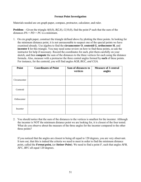#### **Fermat Point Investigation**

Materials needed are cm graph paper, compass, protractor, calculator, and ruler.

**Problem** - Given the triangle  $A(0,0)$ ,  $B(2,8)$ ,  $C(10,0)$ , find the point *P* such that the sum of the distances *PA + PD + PC* is a minimum.

1. On cm graph paper, construct the triangle defined above by plotting the three points. In looking for the minimum distance point, it is not unreasonable to suspect one of the special points we have examined already. Use algebra to find the **circumcenter O**, **centroid G**, **orthocenter H**, and **incenter I** for this triangle. You may need some review on how to find these points, so ask the instructor for help if necessary. Record the coordinates for each, plot them carefully on your sketch, and then **compute** the sum of the distances to the three vertices for each using the distance formula. Also, measure with a protractor the three central angles formed by **each** of these points. For instance, for the centroid, you will find angles *AGB, BGC, and CGA.*

| Point        | <b>Coordinates of Point</b> | Sum of distances to<br>vertices | <b>Measure of 3 central</b><br>angles |
|--------------|-----------------------------|---------------------------------|---------------------------------------|
| Circumcenter |                             |                                 |                                       |
| Centroid     |                             |                                 |                                       |
| Orthocenter  |                             |                                 |                                       |
| Incenter     |                             |                                 |                                       |

2. You should notice that the sum of the distances to the vertices is smallest for the incenter. Although the incenter is NOT the minimum distance point we are looking for, it is closest of the four tested. What do you observe about the measure of the three angles for the incenter compared to the other three points?

 If you noticed that the angles are closest to being all equal to 120 degrees, you are very observant. It turn out, that this is indeed the criteria we need to meet in order to find the minimum distance point, called the *Fermat point,* (or *Steiner Point*). We need to find a point *F*, such that angles *AFB*, *AFC*, *BFC* all equal 120 degrees.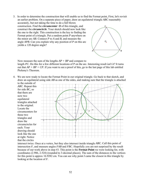3. In order to determine the construction that will enable us to find the Fermat point, First, let's revisit an earlier problem. On a separate piece of paper, draw an equilateral triangle *ABC* reasonably

accurately, but not taking the time to do a full blown construction. Find the *circumcenter O* of this triangle, and construct the *circumcircle*. Your sketch should now look like the one to the right. This construction is the key to finding the Fermat point of a triangle. Put a random point *P* anywhere on the minor arc *AB*. Connect *P* to *A* and *B*, and measure the angle *APB*. Can you explain why any position of *P* on this arc yields a 120 degree angle?



 Now measure the sum of the lengths *AP + BP* and compare to length *PC*. Do this for a few different locations of P on the arc. Interesting result isn't it? It turns out that  $AP + BP = CP$ . If you want to see a proof of this, go to the last page of this lab entitled Ptolemy's Theorem.

4. We are now ready to locate the Fermat Point in our original triangle. Go back to that sketch, and draw an equilateral using side *AB* as one of the sides, and making sure that the triangle is attached to the outside of

*ABC*. Repeat this for side *BC*, so that there are now two equilateral triangles attached to the original. Locate the circumcenters for these two triangles and draw the circumcircles for each. Your drawing should look like the one at right. Notice that the circles



intersect twice. Once at a vertex, but they also intersect inside triangle *ABC*. Call this point of intersection *F*, and measure angles *FAB* and *FBC*. Hopefully you are not surprised by the result because of our work above in step #3. This point is the **Fermat Point** we were looking for, with coordinates (2.986, 2.524) (rounded to 3-decimal places). The sum of the distances to the vertices for this point is approx 16.9282 cm. You can see why point *I* came the closest in this triangle by looking at the location of *F*.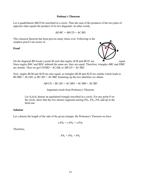#### **Ptolemy's Theorem**

Let a quadrilateral *ABCD* be inscribed in a circle. Then the sum of the products of the two pairs of opposite sides equals the product of its two diagonals. In other words,

$$
AD\cdot BC + AB\cdot CD = AC\cdot BD
$$

This classical theorem has been proven many times over. Following is the simplest proof I am aware of.

**Proof** 



On the diagonal *BD* locate a point *M* such that angles *ACB* and *MCD* are equal. Since angles *BAC* and *BDC* subtend the same arc, they are equal. Therefore, triangles *ABC* and *DMC* are similar. Thus we get CD/*MD* = *AC/AB*, or *AB·CD = AC·MD.*

Now, angles *BCM* and *ACD* are also equal; so triangles *BCM* and *ACD* are similar which leads to  $BC/BM = AC/AD$ , or  $BC \cdot AD = AC \cdot BM$ . Summing up the two identities we obtain

*AB·CD + BC·AD = AC·MD + AC·BM = AC·BD* 

Important result from Ptolemey's Theorem

Let  $A_1A_2A_3$  denote an equilateral triangle inscribed in a circle. For any point *P* on the circle, show that the two shorter segments among *PA1, PA2, PA3* add up to the third one.

#### **Solution**

Let *s* denote the length of the side of the given triangle. By Ptolemey's Theorem we have

$$
s \cdot PA_1 = s \cdot PA_2 + s \cdot PA_3
$$

Therefore,

$$
PA_1 = PA_2 + PA_3
$$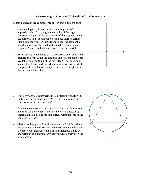#### **Constructing an Equilateral Triangle and its Circumcircle**

Materials needed are compass, protractor, and a straight edge.

- 1. On a blank piece of paper, draw a line segment *AB* approximately 10 cm long in the middle of the page. Construct the perpendicular bisector of this segment using the compass and straight edge techniques learned earlier. Make sure the bisector extends above the line segment a length approximately equal to the length of the original segment. Your sketch should look like the one at right.
- 2. Based on your knowledge of the properties of an equilateral triangle and only using the compass and straight edge tools available, can you think of the next step? If so, execute it, and explain below in detail why your construction works to complete the equilateral triangle. If not, ask a neighbor or the instructor for a hint.



3. We now want to circumscribe the equilateral triangle *ABC* by finding the *circumcenter*. What lines in a triangle are concurrent at the circumcenter?

 Execute the necessary construction to find the circumcenter, and then use the compass to draw the circumcircle. Your sketch should look like the one at right without some of the construction lines.

4. Mark a random point *P* on the minor arc *AB*. Lightly draw the segments *PA* and *PB*, and then measure the angle *APB*. Compare your answer with all of your neighbor's, and try and write an explanation for what you have observed in the space below.

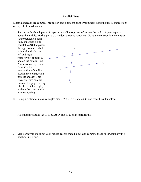#### **Parallel Lines**

Materials needed are compass, protractor, and a straight edge. Preliminary work includes constructions on page 4 of this document.



2. Using a protractor measure angles *GCE, HCE, GCF*, and *HCF*, and record results below.

Also measure angles *AFC, BFC, AFD*, and *BFD* and record results.

3. Make observations about your results, record them below, and compare those observations with a neighboring group.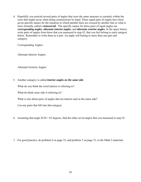4. Hopefully you noticed several pairs of angles that were the same measure or certainly within the error that might occur when doing constructions by hand. These equal pairs of angles have been given specific names for the situation in which parallel lines are crossed by another line or what is more formally called a *transversal*. The specific names for these pairs of equal angles are *corresponding angles*, *alternate interior angles*, and *alternate exterior angles*. In the space below, write pairs of angles from those that you measured in step #2, that you feel belong to each category below. Remember to write them as a pair. An angle will belong to more than one pair and category.

Corresponding Angles:

Alternate Interior Angles:

Alternate Exterior Angles:

5. Another category is called *interior angles on the same side*.

What do you think the word interior is referring to?

What do think same side is referring to?

What is true about pairs of angles that are interior and on the same side?

List any pairs that fall into that category.

6. Assuming that angle  $ECH = 65$  degrees, find the other seven angles that you measured in step #2.

7. For good practice, do problem 6 on page 32, and problem 3 on page 33, in the Math 2 materials.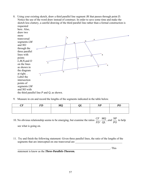8. Using your existing sketch, draw a third parallel line segment *JK* that passes through point *D*. Notice the use of the word draw instead of construct. In order to save some time and make the sketch less cluttery, a careful drawing of the third parallel line rather than a formal construction is requested



9. Measure in cm and record the lengths of the segments indicated in the table below.

| ~- | $\mathbf{m}$ | $\overline{I}$ | - - | $\overline{1}$ |  |
|----|--------------|----------------|-----|----------------|--|
|    |              |                |     |                |  |
|    |              |                |     |                |  |

- 10. No obvious relationship seems to be emerging, but examine the ratios  $\frac{CF}{FD}$ ,  $\frac{MQ}{QL}$ , and  $\frac{NP}{PO}$  to help see what is going on.
- 11. Try and finish the following statement: Given three parallel lines, the ratio of the lengths of the segments that are intercepted on one transversal are

 $\blacksquare$ 

statement is know as the *Three-Parallels-Theorem.*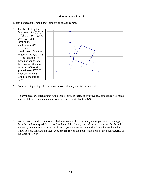#### **Midpoint Quadrilaterals**

Materials needed: Graph paper, straight edge, and compass.



2. Does the midpoint quadrilateral seem to exhibit any special properties?

 Do any necessary calculations in the space below to verify or disprove any conjecture you made above. State any final conclusion you have arrived at about *EFGH*.

3. Now choose a random quadrilateral of your own with vertices anywhere you want. Once again, form the midpoint quadrilateral and look carefully for any special properties it has. Perform the necessary calculations to prove or disprove your conjecture, and write down the results below. When you are finished this step, go to the instructor and get assigned one of the quadrilaterals in the table in step #4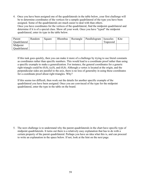4. Once you have been assigned one of the quadrilaterals in the table below, your first challenge will be to determine coordinates of the vertices for a sample quadrilateral of the type you have been assigned. Some of the quadrilaterals are much easier to deal with than others. Once you have coordinates for the vertices of the quadrilateral, find the midpoint quadrilateral and determine if it is of a special class. Show all your work. Once you have "typed" the midpoint quadrilateral, enter its type in the table below.

| Parent               | Random | Square | Rhombus | Rectangle | Parallelogram | Isosceles | Kite |
|----------------------|--------|--------|---------|-----------|---------------|-----------|------|
| Ouadrilateral        |        |        |         |           |               | Trapezoid |      |
| Midpoint             |        |        |         |           |               |           |      |
| <b>Ouadrilateral</b> |        |        |         |           |               |           |      |

 If this task goes quickly, then you can make it more of a challenge by trying to use literal constants as coordinates rather than specific numbers. This would lead to a coordinate proof rather than using a specific example to make a generalization. For instance, the general coordinates for a generic right triangle could be (0,0), (*a*,0), and (0,*b*). Although a vertex is located at the origin, and the perpendicular sides are parallel to the axis, there is no loss of generality in using these coordinates for a coordinate proof about right triangles. Why?

 If this seems too difficult, then work out the details for another specific example of the quadrilateral you have been assigned. Once you are convinced of the type for the midpoint quadrilateral, enter the type in the table on the board.

5. The next challenge is to understand why the parent quadrilaterals in the chart have specific type of midpoint quadrilaterals. It turns out there is a relatively easy explanation that has to do with a certain property of the parent quadrilateral. Perhaps you have an idea what this is, and can proceed to write an explanation in the space below. If not, look at the hint on the next page.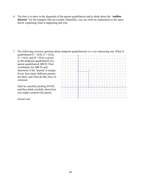6. The hint is to draw in the diagonals of the parent quadrilateral and to think about the *"midline theorem*" for the triangles that are created. Hopefully, you can write an explanation in the space below explaining what is happening and why.

7. The following converse question about midpoint quadrilaterals is a very interesting one. What if quadrilateral  $E = (0,0)$ ,  $F = (4,0)$ ,

 $G = (4,6)$ , and  $H = (0,6)$  is given as the midpoint quadrilateral of a parent quadrilateral *ABCD*. Find coordinates for *ABCD*, and determine if the "parent" is unique. If not, how many different parents are there, and what do they have in common.

 Start by carefully plotting *EFGH*, and then think carefully about how you might construct the parent.

Good Luck.

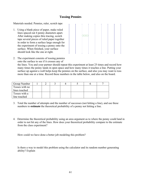# **Tossing Pennies**

Materials needed. Pennies, ruler, scotch tape

1. Using a blank piece of paper, make ruled lines spaced out 4 penny diameters apart. After making copies thru tracing, scotch tape several pieces of ruled paper together in order to form a surface large enough for the experiment of tossing a penny onto the surface. When finished, your surface should look like the one at right.



2. The experiment consists of tossing pennies onto the surface to see if it crosses any of

the lines. You and your partner should repeat this experiment at least 25 times and record how many times the penny lands in open space and how many times it touches a line. Putting your surface up against a wall helps keep the pennies on the surface, and also you may want to toss more than one at a time. Record these numbers in the table below, and also on the board.

| <b>Group Number</b> |  |  |  |  |
|---------------------|--|--|--|--|
| Tosses with no      |  |  |  |  |
| lines touched       |  |  |  |  |
| Tosses with a       |  |  |  |  |
| line touched        |  |  |  |  |

- 3. Total the number of attempts and the number of successes (not hitting a line), and use these numbers to **estimate** the theoretical probability of a penny not hitting a line.
- 4. Determine the theoretical probability using an area argument as to where the penny could land in order to not hit any of the lines. How does your theoretical probability compare to the estimate from the class experiment?

How could we have done a better job modeling this problem?

Is there a way to model this problem using the calculator and its random number generating ability? Explain